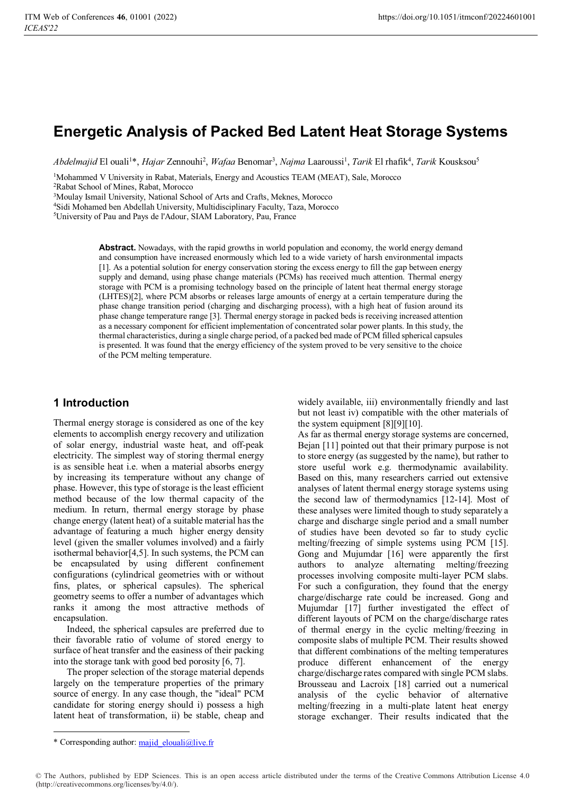# **Energetic Analysis of Packed Bed Latent Heat Storage Systems**

*Abdelmajid* El ouali<sup>1\*</sup>, *Hajar Ze*nnouhi<sup>2</sup>, *Wafaa* Benomar<sup>3</sup>, *Najma* Laaroussi<sup>1</sup>, *Tarik* El rhafik<sup>4</sup>, *Tarik* Kousksou<sup>5</sup>

<sup>1</sup>Mohammed V University in Rabat, Materials, Energy and Acoustics TEAM (MEAT), Sale, Morocco

2 Rabat School of Mines, Rabat, Morocco

<sup>3</sup>Moulay Ismail University, National School of Arts and Crafts, Meknes, Morocco

4 Sidi Mohamed ben Abdellah University, Multidisciplinary Faculty, Taza, Morocco

5 University of Pau and Pays de l'Adour, SIAM Laboratory, Pau, France

**Abstract.** Nowadays, with the rapid growths in world population and economy, the world energy demand and consumption have increased enormously which led to a wide variety of harsh environmental impacts [1]. As a potential solution for energy conservation storing the excess energy to fill the gap between energy supply and demand, using phase change materials (PCMs) has received much attention. Thermal energy storage with PCM is a promising technology based on the principle of latent heat thermal energy storage (LHTES)[2], where PCM absorbs or releases large amounts of energy at a certain temperature during the phase change transition period (charging and discharging process), with a high heat of fusion around its phase change temperature range [3]. Thermal energy storage in packed beds is receiving increased attention as a necessary component for efficient implementation of concentrated solar power plants. In this study, the thermal characteristics, during a single charge period, of a packed bed made of PCM filled spherical capsules is presented. It was found that the energy efficiency of the system proved to be very sensitive to the choice of the PCM melting temperature.

### **1 Introduction**

Thermal energy storage is considered as one of the key elements to accomplish energy recovery and utilization of solar energy, industrial waste heat, and off-peak electricity. The simplest way of storing thermal energy is as sensible heat i.e. when a material absorbs energy by increasing its temperature without any change of phase. However, this type of storage is the least efficient method because of the low thermal capacity of the medium. In return, thermal energy storage by phase change energy (latent heat) of a suitable material has the advantage of featuring a much higher energy density level (given the smaller volumes involved) and a fairly isothermal behavior[4,5]. In such systems, the PCM can be encapsulated by using different confinement configurations (cylindrical geometries with or without fins, plates, or spherical capsules). The spherical geometry seems to offer a number of advantages which ranks it among the most attractive methods of encapsulation.

Indeed, the spherical capsules are preferred due to their favorable ratio of volume of stored energy to surface of heat transfer and the easiness of their packing into the storage tank with good bed porosity [6, 7].

The proper selection of the storage material depends largely on the temperature properties of the primary source of energy. In any case though, the "ideal" PCM candidate for storing energy should i) possess a high latent heat of transformation, ii) be stable, cheap and widely available, iii) environmentally friendly and last but not least iv) compatible with the other materials of the system equipment [8][9][10].

As far as thermal energy storage systems are concerned, Bejan [11] pointed out that their primary purpose is not to store energy (as suggested by the name), but rather to store useful work e.g. thermodynamic availability. Based on this, many researchers carried out extensive analyses of latent thermal energy storage systems using the second law of thermodynamics [12-14]. Most of these analyses were limited though to study separately a charge and discharge single period and a small number of studies have been devoted so far to study cyclic melting/freezing of simple systems using PCM [15]. Gong and Mujumdar [16] were apparently the first authors to analyze alternating melting/freezing processes involving composite multi-layer PCM slabs. For such a configuration, they found that the energy charge/discharge rate could be increased. Gong and Mujumdar [17] further investigated the effect of different layouts of PCM on the charge/discharge rates of thermal energy in the cyclic melting/freezing in composite slabs of multiple PCM. Their results showed that different combinations of the melting temperatures produce different enhancement of the energy charge/discharge rates compared with single PCM slabs. Brousseau and Lacroix [18] carried out a numerical analysis of the cyclic behavior of alternative melting/freezing in a multi-plate latent heat energy storage exchanger. Their results indicated that the

-

<sup>\*</sup> Corresponding author: majid\_elouali@live.fr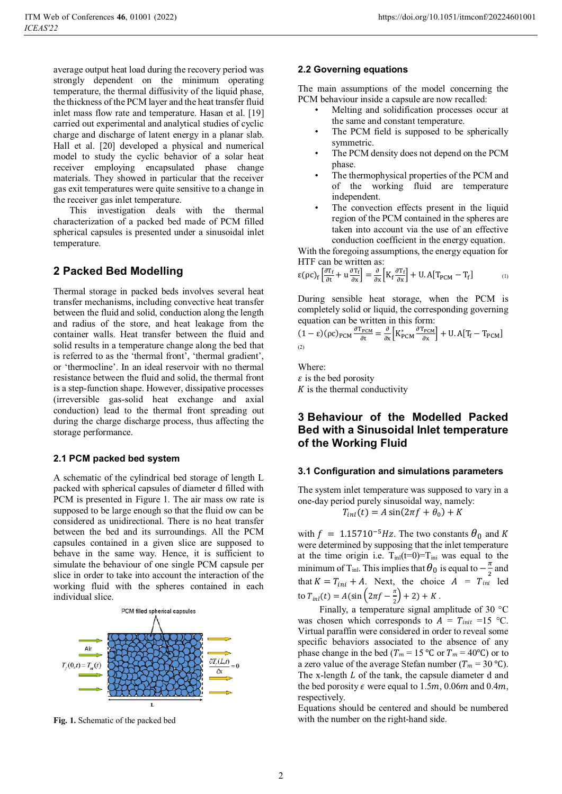average output heat load during the recovery period was strongly dependent on the minimum operating temperature, the thermal diffusivity of the liquid phase, the thickness of the PCM layer and the heat transfer fluid inlet mass flow rate and temperature. Hasan et al. [19] carried out experimental and analytical studies of cyclic charge and discharge of latent energy in a planar slab. Hall et al. [20] developed a physical and numerical model to study the cyclic behavior of a solar heat receiver employing encapsulated phase change materials. They showed in particular that the receiver gas exit temperatures were quite sensitive to a change in the receiver gas inlet temperature.

 This investigation deals with the thermal characterization of a packed bed made of PCM filled spherical capsules is presented under a sinusoidal inlet temperature.

# **2 Packed Bed Modelling**

Thermal storage in packed beds involves several heat transfer mechanisms, including convective heat transfer between the fluid and solid, conduction along the length and radius of the store, and heat leakage from the container walls. Heat transfer between the fluid and solid results in a temperature change along the bed that is referred to as the 'thermal front', 'thermal gradient', or 'thermocline'. In an ideal reservoir with no thermal resistance between the fluid and solid, the thermal front is a step-function shape. However, dissipative processes (irreversible gas-solid heat exchange and axial conduction) lead to the thermal front spreading out during the charge discharge process, thus affecting the storage performance.

### **2.1 PCM packed bed system**

A schematic of the cylindrical bed storage of length L packed with spherical capsules of diameter d filled with PCM is presented in Figure 1. The air mass ow rate is supposed to be large enough so that the fluid ow can be considered as unidirectional. There is no heat transfer between the bed and its surroundings. All the PCM capsules contained in a given slice are supposed to behave in the same way. Hence, it is sufficient to simulate the behaviour of one single PCM capsule per slice in order to take into account the interaction of the working fluid with the spheres contained in each individual slice.



**Fig. 1.** Schematic of the packed bed

### **2.2 Governing equations**

The main assumptions of the model concerning the PCM behaviour inside a capsule are now recalled:

- Melting and solidification processes occur at the same and constant temperature.
- The PCM field is supposed to be spherically symmetric.
- The PCM density does not depend on the PCM phase.
- The thermophysical properties of the PCM and of the working fluid are temperature independent.
- The convection effects present in the liquid region of the PCM contained in the spheres are taken into account via the use of an effective conduction coefficient in the energy equation.

With the foregoing assumptions, the energy equation for HTF can be written as:

$$
\varepsilon(\rho c)_f \left[ \frac{\partial T_f}{\partial t} + u \frac{\partial T_f}{\partial x} \right] = \frac{\partial}{\partial x} \left[ K_f \frac{\partial T_f}{\partial x} \right] + U.A[T_{PCM} - T_f] \tag{1}
$$

During sensible heat storage, when the PCM is completely solid or liquid, the corresponding governing equation can be written in this form:

$$
(1 - \varepsilon)(\rho c)_{\text{PCM}} \frac{\partial T_{\text{PCM}}}{\partial t} = \frac{\partial}{\partial x} \left[ K_{\text{PCM}}^* \frac{\partial T_{\text{PCM}}}{\partial x} \right] + U.A[T_f - T_{\text{PCM}}]
$$
\n(2)

Where:  $\epsilon$  is the bed porosity  $K$  is the thermal conductivity

# **3 Behaviour of the Modelled Packed Bed with a Sinusoidal Inlet temperature of the Working Fluid**

#### **3.1 Configuration and simulations parameters**

The system inlet temperature was supposed to vary in a one-day period purely sinusoidal way, namely:

$$
T_{int}(t) = A\sin(2\pi f + \theta_0) + K
$$

with  $f = 1.15710^{-5}$  Hz. The two constants  $\theta_0$  and K were determined by supposing that the inlet temperature at the time origin i.e.  $T_{inl}(t=0)=T_{inl}$  was equal to the minimum of T<sub>inl</sub>. This implies that  $\theta_0$  is equal to  $-\frac{\pi}{2}$  and that  $K = T_{ini} + A$ . Next, the choice  $A = T_{ini}$  led to  $T_{inl}(t) = A(\sin \left(2\pi f - \frac{\pi}{2}\right) + 2) + K$ .

Finally, a temperature signal amplitude of 30 °C was chosen which corresponds to  $A = T_{init} =15$  °C. Virtual paraffin were considered in order to reveal some specific behaviors associated to the absence of any phase change in the bed ( $T_m = 15$  °C or  $T_m = 40$ °C) or to a zero value of the average Stefan number ( $T_m = 30 \degree C$ ). The x-length  $L$  of the tank, the capsule diameter d and the bed porosity  $\epsilon$  were equal to 1.5*m*, 0.06*m* and 0.4*m*, respectively.

Equations should be centered and should be numbered with the number on the right-hand side.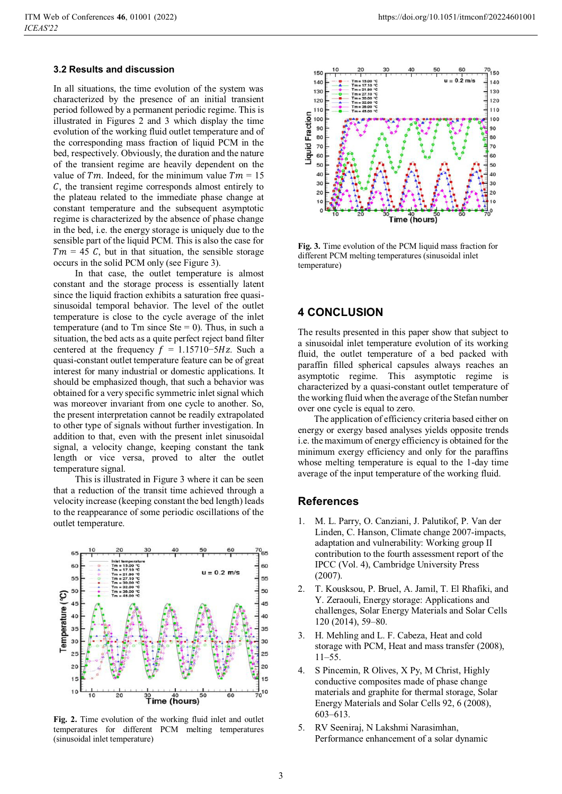### **3.2 Results and discussion**

In all situations, the time evolution of the system was characterized by the presence of an initial transient period followed by a permanent periodic regime. This is illustrated in Figures 2 and 3 which display the time evolution of the working fluid outlet temperature and of the corresponding mass fraction of liquid PCM in the bed, respectively. Obviously, the duration and the nature of the transient regime are heavily dependent on the value of  $Tm$ . Indeed, for the minimum value  $Tm = 15$  $\mathcal{C}$ , the transient regime corresponds almost entirely to the plateau related to the immediate phase change at constant temperature and the subsequent asymptotic regime is characterized by the absence of phase change in the bed, i.e. the energy storage is uniquely due to the sensible part of the liquid PCM. This is also the case for  $Tm = 45$  C, but in that situation, the sensible storage occurs in the solid PCM only (see Figure 3).

In that case, the outlet temperature is almost constant and the storage process is essentially latent since the liquid fraction exhibits a saturation free quasisinusoidal temporal behavior. The level of the outlet temperature is close to the cycle average of the inlet temperature (and to Tm since  $Ste = 0$ ). Thus, in such a situation, the bed acts as a quite perfect reject band filter centered at the frequency  $f = 1.15710-5Hz$ . Such a quasi-constant outlet temperature feature can be of great interest for many industrial or domestic applications. It should be emphasized though, that such a behavior was obtained for a very specific symmetric inlet signal which was moreover invariant from one cycle to another. So, the present interpretation cannot be readily extrapolated to other type of signals without further investigation. In addition to that, even with the present inlet sinusoidal signal, a velocity change, keeping constant the tank length or vice versa, proved to alter the outlet temperature signal.

This is illustrated in Figure 3 where it can be seen that a reduction of the transit time achieved through a velocity increase (keeping constant the bed length) leads to the reappearance of some periodic oscillations of the outlet temperature.



**Fig. 2.** Time evolution of the working fluid inlet and outlet temperatures for different PCM melting temperatures (sinusoidal inlet temperature)



**Fig. 3.** Time evolution of the PCM liquid mass fraction for different PCM melting temperatures (sinusoidal inlet temperature)

## **4 CONCLUSION**

The results presented in this paper show that subject to a sinusoidal inlet temperature evolution of its working fluid, the outlet temperature of a bed packed with paraffin filled spherical capsules always reaches an asymptotic regime. This asymptotic regime is characterized by a quasi-constant outlet temperature of the working fluid when the average of the Stefan number over one cycle is equal to zero.

 The application of efficiency criteria based either on energy or exergy based analyses yields opposite trends i.e. the maximum of energy efficiency is obtained for the minimum exergy efficiency and only for the paraffins whose melting temperature is equal to the 1-day time average of the input temperature of the working fluid.

### **References**

- 1. M. L. Parry, O. Canziani, J. Palutikof, P. Van der Linden, C. Hanson, Climate change 2007-impacts, adaptation and vulnerability: Working group II contribution to the fourth assessment report of the IPCC (Vol. 4), Cambridge University Press (2007).
- 2. T. Kousksou, P. Bruel, A. Jamil, T. El Rhafiki, and Y. Zeraouli, Energy storage: Applications and challenges, Solar Energy Materials and Solar Cells 120 (2014), 59–80.
- 3. H. Mehling and L. F. Cabeza, Heat and cold storage with PCM, Heat and mass transfer (2008), 11–55.
- 4. S Pincemin, R Olives, X Py, M Christ, Highly conductive composites made of phase change materials and graphite for thermal storage, Solar Energy Materials and Solar Cells 92, 6 (2008), 603–613.
- 5. RV Seeniraj, N Lakshmi Narasimhan, Performance enhancement of a solar dynamic